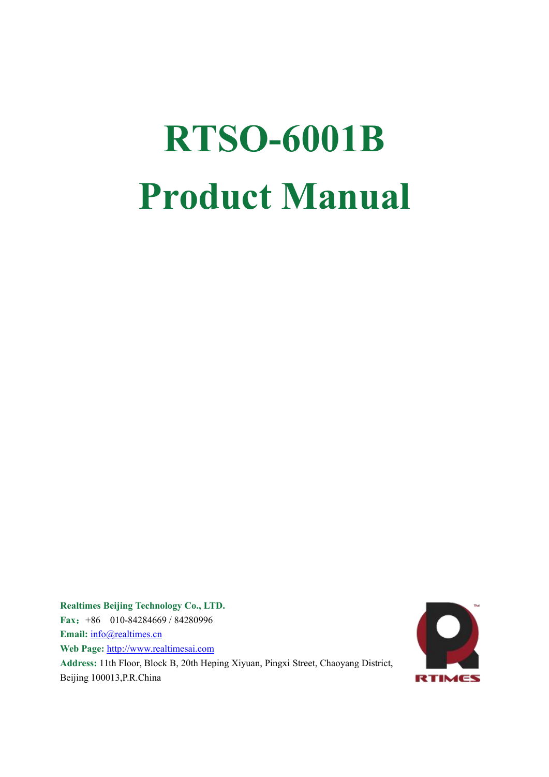# **RTSO-6001B Product Manual**

**Realtimes Beijing Technology Co., LTD. Fax**:+86 010-84284669 / 84280996 **Email:** [info@realtimes.cn](mailto:info@realtimes.cn) **Web Page:** <http://www.realtimesai.com> **Address:** 11th Floor, Block B, 20th Heping Xiyuan, Pingxi Street, Chaoyang District, Beijing 100013,P.R.China

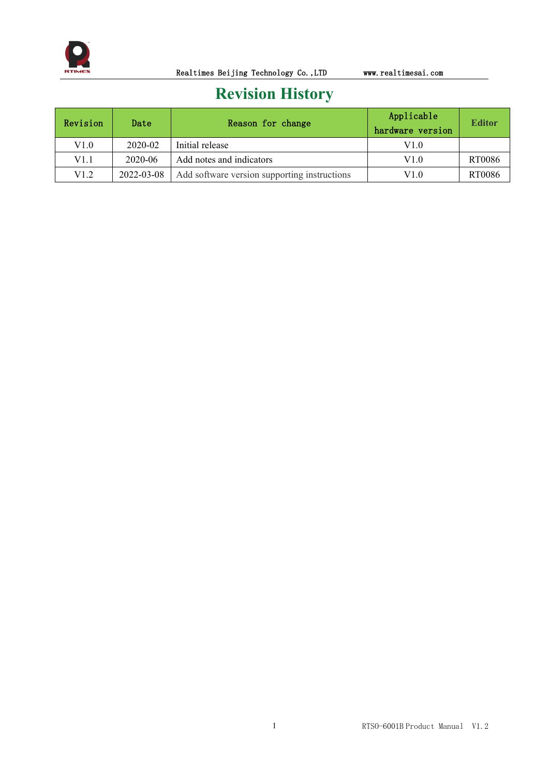

# **Revision History**

| Revision | Date       | Reason for change                            | Applicable<br>hardware version | <b>Editor</b> |
|----------|------------|----------------------------------------------|--------------------------------|---------------|
| V1.0     | 2020-02    | Initial release                              | V1.0                           |               |
| V1.1     | 2020-06    | Add notes and indicators                     | V1.0                           | RT0086        |
| V1.2     | 2022-03-08 | Add software version supporting instructions | V1.0                           | RT0086        |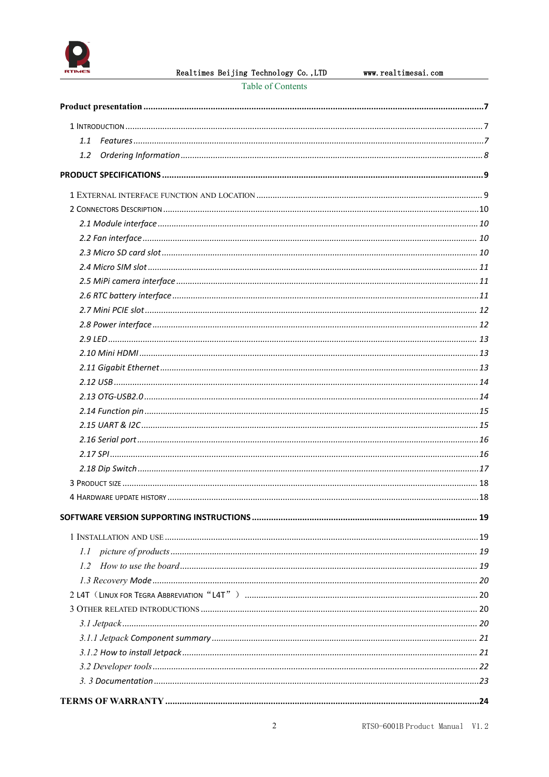

Realtimes Beijing Technology Co., LTD

Table of Contents

| 1.1           |  |
|---------------|--|
| $1.2^{\circ}$ |  |
|               |  |
|               |  |
|               |  |
|               |  |
|               |  |
|               |  |
|               |  |
|               |  |
|               |  |
|               |  |
|               |  |
|               |  |
|               |  |
|               |  |
|               |  |
|               |  |
|               |  |
|               |  |
|               |  |
|               |  |
|               |  |
|               |  |
|               |  |
|               |  |
|               |  |
|               |  |
|               |  |
| 1.1           |  |
|               |  |
|               |  |
|               |  |
|               |  |
|               |  |
|               |  |
|               |  |
|               |  |
|               |  |
|               |  |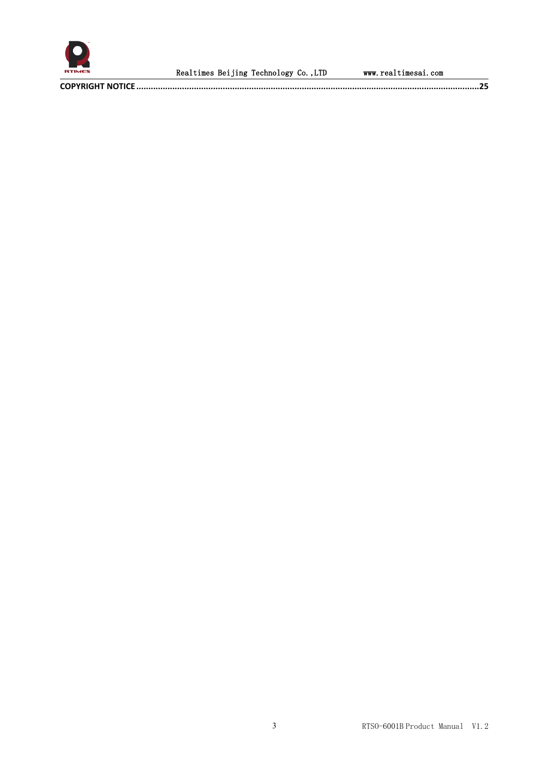

**COPYRIGHT NOTICE [...............................................................................................................................................25](#page-25-0)**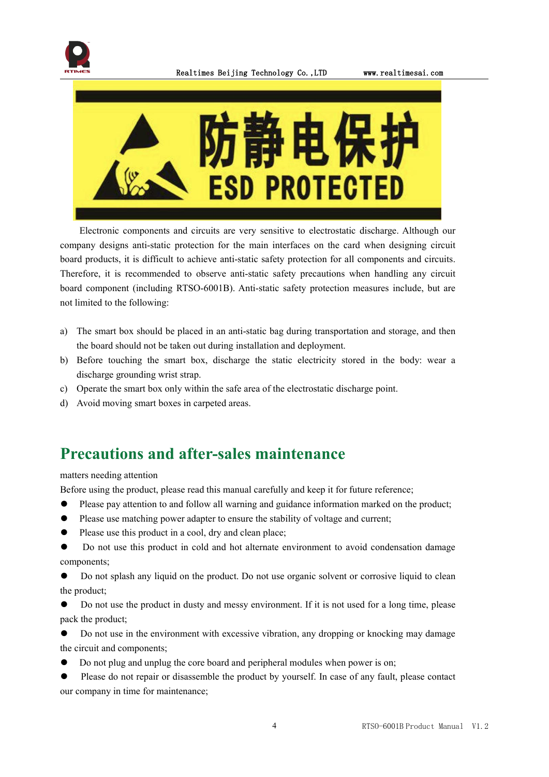



Electronic components and circuits are very sensitive to electrostatic discharge. Although our company designs anti-static protection for the main interfaces on the card when designing circuit board products, it is difficult to achieve anti-static safety protection for all components and circuits. Therefore, it is recommended to observe anti-static safety precautions when handling any circuit board component (including RTSO-6001B). Anti-static safety protection measures include, but are not limited to the following:

- a) The smart box should be placed in an anti-static bag during transportation and storage, and then the board should not be taken out during installation and deployment.
- b) Before touching the smart box, discharge the static electricity stored in the body: wear a discharge grounding wrist strap.<br>c) Operate the smart box only within the safe area of the electrostatic discharge point.
- 
- d) Avoid moving smart boxes in carpeted areas.

# **Precautions and after-sales maintenance**

matters needing attention

Before using the product, please read this manual carefully and keep it for future reference;

- ⚫ Please pay attention to and follow all warning and guidance information marked on the product;
- ⚫ Please use matching power adapter to ensure the stability of voltage and current;
- Please use this product in a cool, dry and clean place;
- ⚫ Do not use this product in cold and hot alternate environment to avoid condensation damage components;
- Do not splash any liquid on the product. Do not use organic solvent or corrosive liquid to clean the product;
- ⚫ Do not use the product in dusty and messy environment. If it is not used for a long time, please pack the product;
- ⚫ Do not use in the environment with excessive vibration, any dropping or knocking may damage the circuit and components;
- ⚫ Do not plug and unplug the core board and peripheral modules when power is on;
- Please do not repair or disassemble the product by yourself. In case of any fault, please contact our company in time for maintenance;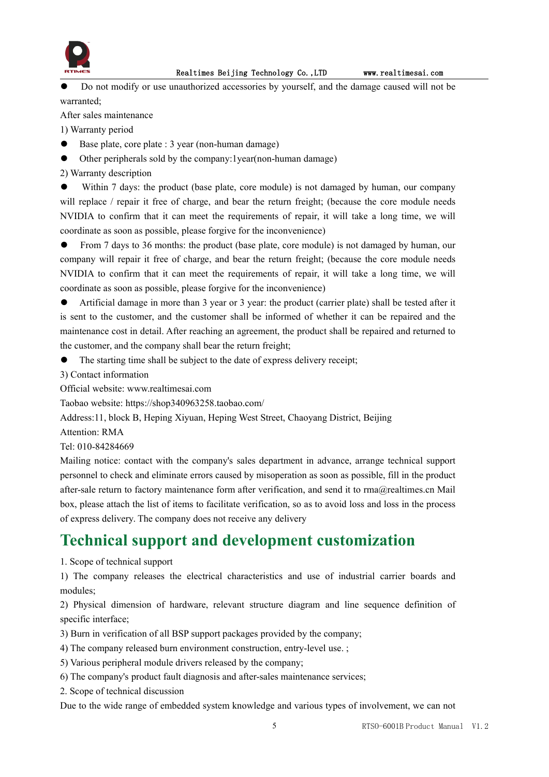

⚫ Do not modify or use unauthorized accessories by yourself, and the damage caused will not be warranted;

After sales maintenance

1) Warranty period

- Base plate, core plate : 3 year (non-human damage)
- ⚫ Other peripherals sold by the company:1year(non-human damage)

2) Warranty description

⚫ Within 7 days: the product (base plate, core module) is not damaged by human, our company will replace / repair it free of charge, and bear the return freight; (because the core module needs NVIDIA to confirm that it can meet the requirements of repair, it will take a long time, we will coordinate as soon as possible, please forgive for the inconvenience)

● From 7 days to 36 months: the product (base plate, core module) is not damaged by human, our company will repair it free of charge, and bear the return freight; (because the core module needs NVIDIA to confirm that it can meet the requirements of repair, it will take a long time, we will coordinate as soon as possible, please forgive for the inconvenience)

⚫ Artificial damage in more than 3 year or3 year: the product (carrier plate) shall be tested after it is sent to the customer, and the customer shall be informed of whether it can be repaired and the maintenance cost in detail. After reaching an agreement, the product shall be repaired and returned to the customer, and the company shall bear the return freight;

⚫ The starting time shall be subject to the date of express delivery receipt;

3) Contact information

Official website: www.realtimesai.com

Taobao website: https://shop340963258.taobao.com/

Address:11, block B, Heping Xiyuan, Heping West Street, Chaoyang District, Beijing

Attention: RMA

Tel: 010-84284669

Mailing notice: contact with the company's sales department in advance, arrange technical support personnel to check and eliminate errors caused by misoperation as soon as possible, fill in the product after-sale return to factory maintenance form after verification, and send it to rma@realtimes.cn Mail box, please attach the list of items to facilitate verification, so as to avoid loss and loss in the process of express delivery. The company doesnot receive any delivery

# **Technical support and development customization**

1. Scope of technical support

1) The company releases the electrical characteristics and use of industrial carrier boards and modules;

2) Physical dimension of hardware, relevant structure diagram and line sequence definition of specific interface;

3) Burn in verification of all BSP support packages provided by the company;

- 4) The company released burn environment construction, entry-level use. ;
- 5) Various peripheral module drivers released by the company;
- 6) The company's product fault diagnosis and after-sales maintenance services;
- 2. Scope of technical discussion

Due to the wide range of embedded system knowledge and various types of involvement, we can not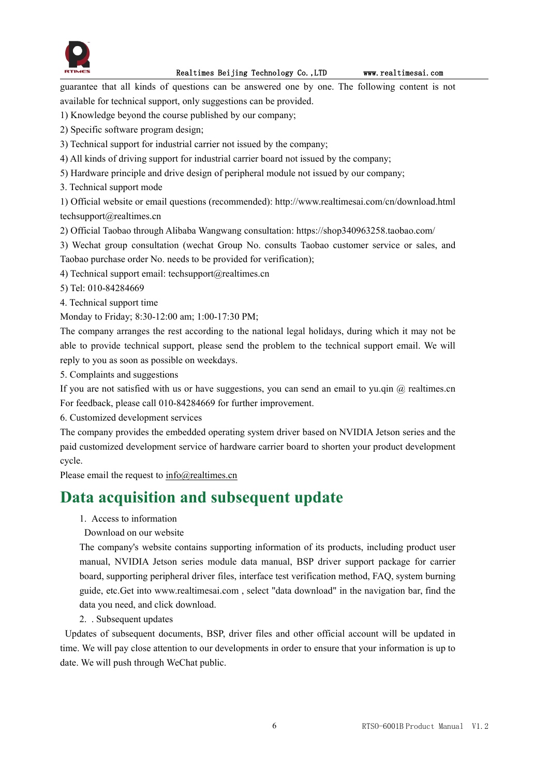

guarantee that all kinds of questions can be answered one by one. The following content is not available for technical support, only suggestions can be provided.

- 1) Knowledge beyond the course published by our company;
- 2) Specific software program design;
- 3) Technical support for industrial carrier not issued by the company;
- 4) All kinds of driving support for industrial carrier board not issued by the company;
- 5) Hardware principle and drive design of peripheral module not issued by our company;
- 3. Technical support mode

1) Official website or email questions (recommended): http://www.realtimesai.com/cn/download.html techsupport@realtimes.cn

2) Official Taobao through Alibaba Wangwang consultation: https://shop340963258.taobao.com/

3) Wechat group consultation (wechat Group No. consults Taobao customer service or sales, and Taobao purchase order No. needs to be provided for verification);

- 4) Technical support email: techsupport $(\partial_{\mathcal{C}})$  realtimes.cn
- 5) Tel: 010-84284669
- 4. Technical support time

Monday to Friday; 8:30-12:00 am; 1:00-17:30 PM;

The company arranges the rest according to the national legal holidays, during which it may not be able to provide technical support, please send the problem to the technical support email. We will reply to you as soon as possible on weekdays.

5. Complaints and suggestions

If you are not satisfied with us or have suggestions, you can send an email to yu.qin  $@$  realtimes.cn For feedback, please call 010-84284669 for further improvement.

6. Customized development services

The company provides the embedded operating system driver based on NVIDIA Jetson series and the paid customized development service of hardware carrier board to shorten your product development cycle.

Please email the request to [info@realtimes.cn](mailto:info@realtimes.cn)

# **Data acquisition and subsequent update**

- 1. Access to information
- Download on our website

The company's website contains supporting information of its products, including product user manual, NVIDIA Jetson series module data manual,BSP driver support package for carrier board, supporting peripheral driver files, interface test verification method, FAQ, system burning guide, etc.Get into www.realtimesai.com , select "data download" in the navigation bar, find the data you need, and click download.

2. . Subsequent updates

Updates of subsequent documents, BSP, driver files and other official account will be updated in time. We will pay close attention to our developments in order to ensure that your information is up to date. We will push through WeChat public.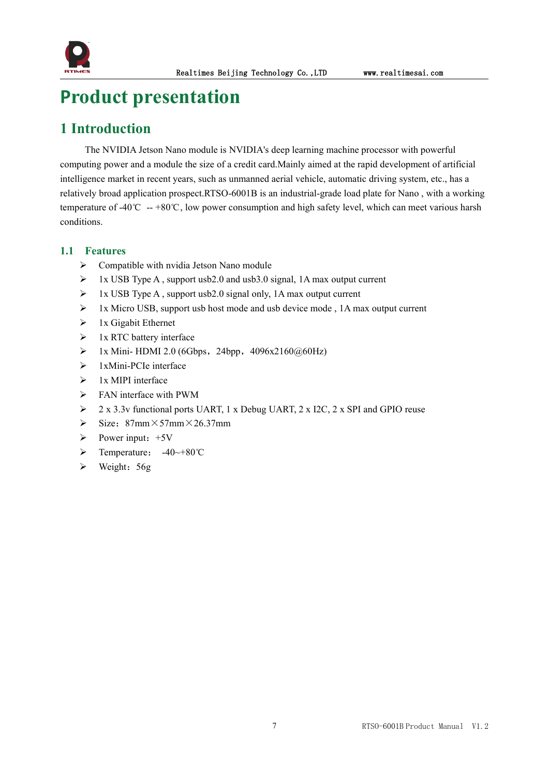

# <span id="page-7-0"></span>**Product presentation**

# <span id="page-7-1"></span>**1 Introduction**

The NVIDIA Jetson Nano module is NVIDIA's deep learning machine processor with powerful computing power and a module the size of a credit card.Mainly aimed at the rapid development of artificial intelligence market in recent years, such as unmanned aerial vehicle, automatic driving system, etc., has a relatively broad application prospect.RTSO-6001B is an industrial-grade load plate for Nano , with a working temperature of -40℃ -- +80℃, low power consumption and high safety level, which can meet various harsh conditions.

#### <span id="page-7-2"></span>**1.1 Features**

- $\triangleright$  Compatible with nvidia Jetson Nano module
- 1x USB TypeA , support usb2.0 and usb3.0 signal, 1A max output current
- $\triangleright$  1x USB Type A, support usb2.0 signal only, 1A max output current
- $\triangleright$  1x Micro USB, support usb host mode and usb device mode, 1A max output current
- $\triangleright$  1x Gigabit Ethernet
- $\triangleright$  1x RTC battery interface
- $\triangleright$  1x Mini- HDMI 2.0 (6Gbps, 24bpp, 4096x2160@60Hz)
- $\triangleright$  1xMini-PCIe interface
- $\geq 1x$  MIPI interface
- $\triangleright$  FAN interface with PWM
- $\geq$  2 x 3.3v functional ports UART, 1 x Debug UART, 2 x I2C, 2 x SPI and GPIO reuse
- $\triangleright$  Size: 87mm×57mm×26.37mm
- $\triangleright$  Power input: +5V
- Temperature: -40~+80℃
- $\triangleright$  Weight: 56g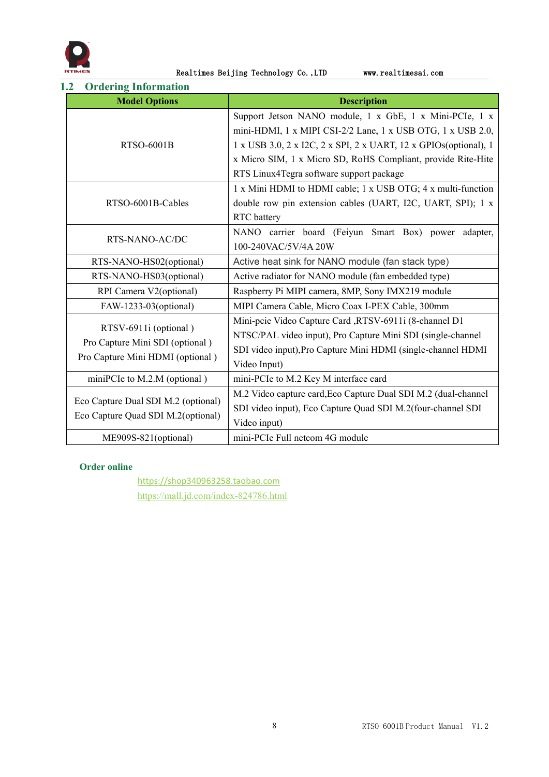

#### <span id="page-8-0"></span>**1.2 Ordering Information**

| <b>Model Options</b>                                                | <b>Description</b>                                               |  |  |  |
|---------------------------------------------------------------------|------------------------------------------------------------------|--|--|--|
|                                                                     | Support Jetson NANO module, 1 x GbE, 1 x Mini-PCIe, 1 x          |  |  |  |
|                                                                     | mini-HDMI, 1 x MIPI CSI-2/2 Lane, 1 x USB OTG, 1 x USB 2.0,      |  |  |  |
| <b>RTSO-6001B</b>                                                   | 1 x USB 3.0, 2 x I2C, 2 x SPI, 2 x UART, 12 x GPIOs(optional), 1 |  |  |  |
|                                                                     | x Micro SIM, 1 x Micro SD, RoHS Compliant, provide Rite-Hite     |  |  |  |
|                                                                     | RTS Linux4Tegra software support package                         |  |  |  |
|                                                                     | 1 x Mini HDMI to HDMI cable; 1 x USB OTG; 4 x multi-function     |  |  |  |
| RTSO-6001B-Cables                                                   | double row pin extension cables (UART, I2C, UART, SPI); 1 x      |  |  |  |
|                                                                     | <b>RTC</b> battery                                               |  |  |  |
|                                                                     | NANO carrier board (Feiyun Smart Box) power adapter,             |  |  |  |
| RTS-NANO-AC/DC                                                      | 100-240VAC/5V/4A 20W                                             |  |  |  |
| RTS-NANO-HS02(optional)                                             | Active heat sink for NANO module (fan stack type)                |  |  |  |
| RTS-NANO-HS03(optional)                                             | Active radiator for NANO module (fan embedded type)              |  |  |  |
| RPI Camera V2(optional)                                             | Raspberry Pi MIPI camera, 8MP, Sony IMX219 module                |  |  |  |
| FAW-1233-03(optional)                                               | MIPI Camera Cable, Micro Coax I-PEX Cable, 300mm                 |  |  |  |
|                                                                     | Mini-pcie Video Capture Card ,RTSV-6911i (8-channel D1           |  |  |  |
| RTSV-6911i (optional)                                               | NTSC/PAL video input), Pro Capture Mini SDI (single-channel      |  |  |  |
| Pro Capture Mini SDI (optional)<br>Pro Capture Mini HDMI (optional) | SDI video input), Pro Capture Mini HDMI (single-channel HDMI     |  |  |  |
|                                                                     | Video Input)                                                     |  |  |  |
| miniPCIe to M.2.M (optional)                                        | mini-PCIe to M.2 Key M interface card                            |  |  |  |
|                                                                     | M.2 Video capture card, Eco Capture Dual SDI M.2 (dual-channel   |  |  |  |
| Eco Capture Dual SDI M.2 (optional)                                 | SDI video input), Eco Capture Quad SDI M.2(four-channel SDI      |  |  |  |
| Eco Capture Quad SDI M.2(optional)                                  | Video input)                                                     |  |  |  |
| ME909S-821(optional)                                                | mini-PCIe Full netcom 4G module                                  |  |  |  |

#### **Order online**

<https://shop340963258.taobao.com> <https://mall.jd.com/index-824786.html>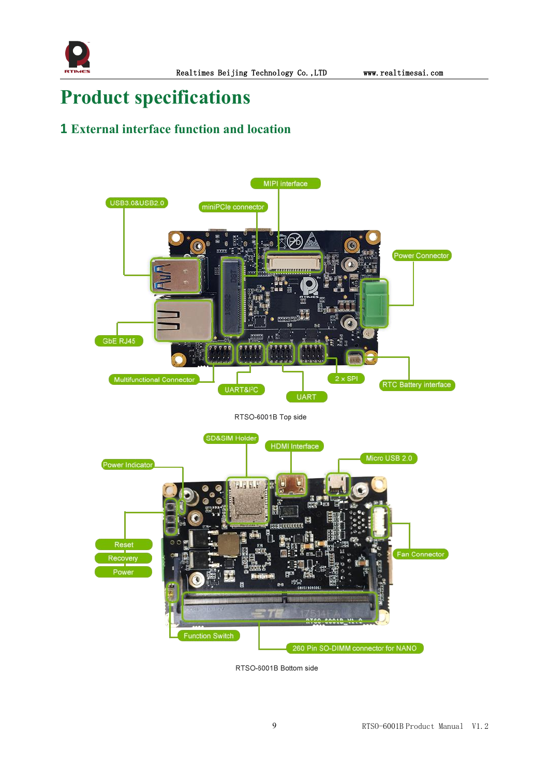

# <span id="page-9-0"></span>**Product specifications**

# <span id="page-9-1"></span>**1 External interface function and location**



RTSO-6001B Bottom side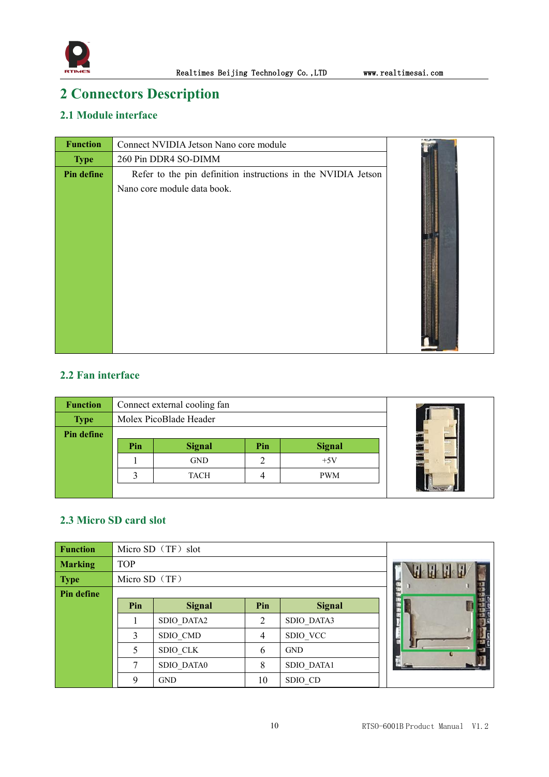

# <span id="page-10-0"></span>**2 Connectors Description**

### <span id="page-10-1"></span>**2.1 Module interface**

| <b>Function</b> | Connect NVIDIA Jetson Nano core module                        |  |
|-----------------|---------------------------------------------------------------|--|
| <b>Type</b>     | 260 Pin DDR4 SO-DIMM                                          |  |
| Pin define      | Refer to the pin definition instructions in the NVIDIA Jetson |  |
|                 | Nano core module data book.                                   |  |

### <span id="page-10-2"></span>**2.2 Fan interface**

| <b>Function</b> | Connect external cooling fan |               |     |               |  |  |  |
|-----------------|------------------------------|---------------|-----|---------------|--|--|--|
| <b>Type</b>     | Molex PicoBlade Header       |               |     |               |  |  |  |
| Pin define      |                              |               |     |               |  |  |  |
|                 | Pin                          | <b>Signal</b> | Pin | <b>Signal</b> |  |  |  |
|                 |                              | <b>GND</b>    |     | $+5V$         |  |  |  |
|                 |                              | <b>TACH</b>   |     | <b>PWM</b>    |  |  |  |
|                 |                              |               |     |               |  |  |  |

#### <span id="page-10-3"></span>**2.3 Micro SD card slot**

| <b>Function</b>   | Micro SD (TF) slot |               |                |               |  |
|-------------------|--------------------|---------------|----------------|---------------|--|
| <b>Marking</b>    | <b>TOP</b>         |               |                |               |  |
| <b>Type</b>       | Micro SD (TF)      |               |                |               |  |
| <b>Pin define</b> |                    |               |                |               |  |
|                   | Pin                | <b>Signal</b> | Pin            | <b>Signal</b> |  |
|                   |                    | SDIO DATA2    | 2              | SDIO DATA3    |  |
|                   | 3                  | SDIO CMD      | $\overline{4}$ | SDIO VCC      |  |
|                   | 5                  | SDIO CLK      | 6              | <b>GND</b>    |  |
|                   | 7                  | SDIO DATA0    | 8              | SDIO DATA1    |  |
|                   | $\mathbf Q$        | <b>GND</b>    | 10             | SDIO CD       |  |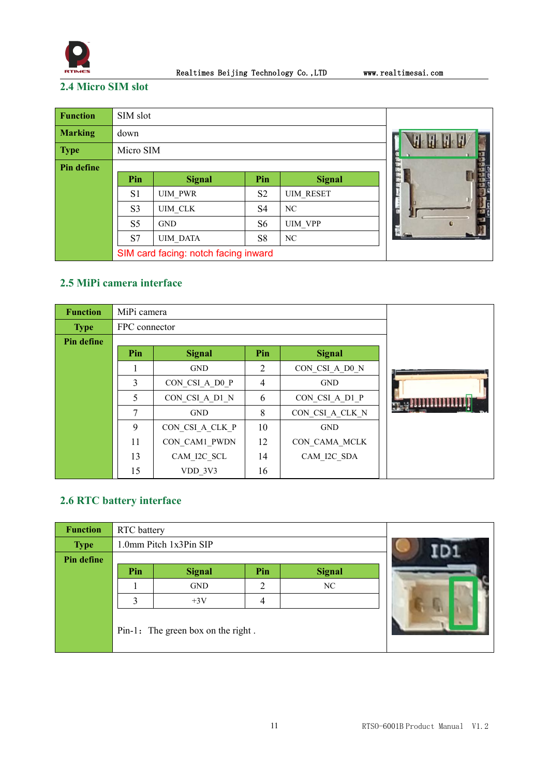

### <span id="page-11-0"></span>**2.4 Micro SIM slot**

| <b>Function</b>   | SIM slot       |                                      |                |                  |  |  |  |  |
|-------------------|----------------|--------------------------------------|----------------|------------------|--|--|--|--|
| <b>Marking</b>    | down           |                                      |                |                  |  |  |  |  |
| <b>Type</b>       | Micro SIM      |                                      |                |                  |  |  |  |  |
| <b>Pin define</b> |                |                                      |                |                  |  |  |  |  |
|                   | Pin            | <b>Signal</b>                        | Pin            | <b>Signal</b>    |  |  |  |  |
|                   | S <sub>1</sub> | <b>UIM PWR</b>                       | S <sub>2</sub> | <b>UIM RESET</b> |  |  |  |  |
|                   | S <sub>3</sub> | UIM CLK                              | S <sub>4</sub> | NC               |  |  |  |  |
|                   | S <sub>5</sub> | <b>GND</b>                           | S6             | <b>UIM VPP</b>   |  |  |  |  |
|                   | S7             | <b>UIM DATA</b>                      | S <sub>8</sub> | NC               |  |  |  |  |
|                   |                | SIM card facing: notch facing inward |                |                  |  |  |  |  |

### <span id="page-11-1"></span>**2.5 MiPi camera interface**

| <b>Function</b> | MiPi camera   |                 |                |                 |  |
|-----------------|---------------|-----------------|----------------|-----------------|--|
| <b>Type</b>     | FPC connector |                 |                |                 |  |
| Pin define      |               |                 |                |                 |  |
|                 | Pin           | <b>Signal</b>   | Pin            | <b>Signal</b>   |  |
|                 |               | <b>GND</b>      | 2              | CON CSI A D0 N  |  |
|                 | 3             | CON CSI A D0 P  | $\overline{4}$ | <b>GND</b>      |  |
|                 | 5             | CON CSI A D1 N  | 6              | CON CSI A D1 P  |  |
|                 | 7             | <b>GND</b>      | 8              | CON CSI A CLK N |  |
|                 | 9             | CON CSI A CLK P | 10             | <b>GND</b>      |  |
|                 | 11            | CON CAM1 PWDN   | 12             | CON CAMA MCLK   |  |
|                 | 13            | CAM I2C SCL     | 14             | CAM I2C SDA     |  |
|                 | 15            | VDD 3V3         | 16             |                 |  |

### <span id="page-11-2"></span>**2.6 RTC battery interface**

| <b>Function</b> | <b>RTC</b> battery |                                    |     |               |  |
|-----------------|--------------------|------------------------------------|-----|---------------|--|
| <b>Type</b>     |                    | 1.0mm Pitch 1x3Pin SIP             |     |               |  |
| Pin define      |                    |                                    |     |               |  |
|                 | Pin                | <b>Signal</b>                      | Pin | <b>Signal</b> |  |
|                 |                    | <b>GND</b>                         | 2   | NC            |  |
|                 | 3                  | $+3V$                              | 4   |               |  |
|                 |                    | Pin-1: The green box on the right. |     |               |  |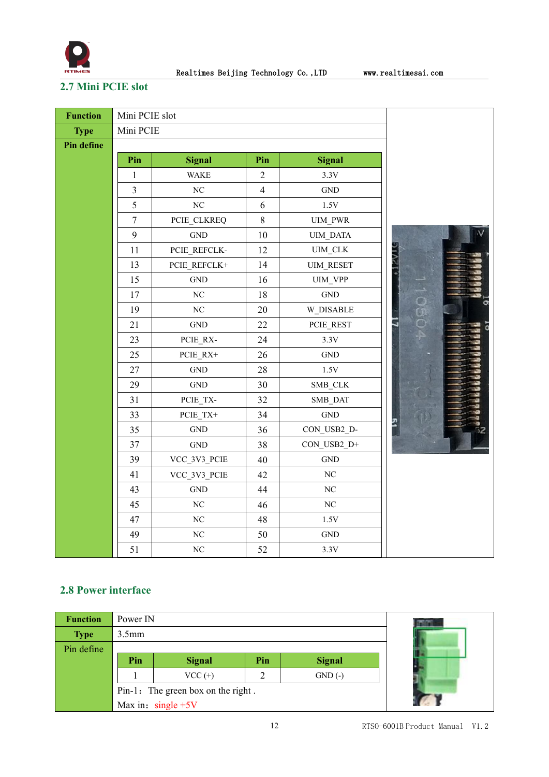

# <span id="page-12-0"></span>**2.7 Mini PCIE slot**

| <b>Function</b>   | Mini PCIE slot |                      |                |                      |           |
|-------------------|----------------|----------------------|----------------|----------------------|-----------|
| <b>Type</b>       | Mini PCIE      |                      |                |                      |           |
| <b>Pin define</b> |                |                      |                |                      |           |
|                   | Pin            | <b>Signal</b>        | Pin            | <b>Signal</b>        |           |
|                   | $\mathbf{1}$   | <b>WAKE</b>          | $\sqrt{2}$     | 3.3V                 |           |
|                   | $\overline{3}$ | $\rm NC$             | $\overline{4}$ | $\operatorname{GND}$ |           |
|                   | 5              | NC                   | 6              | 1.5V                 |           |
|                   | $\tau$         | PCIE_CLKREQ          | 8              | UIM_PWR              |           |
|                   | 9              | $\operatorname{GND}$ | 10             | UIM_DATA             |           |
|                   | 11             | PCIE_REFCLK-         | 12             | $UIM\_CLK$           |           |
|                   | 13             | PCIE_REFCLK+         | 14             | <b>UIM_RESET</b>     |           |
|                   | 15             | $\operatorname{GND}$ | 16             | UIM_VPP              |           |
|                   | $17$           | $\rm NC$             | 18             | $\operatorname{GND}$ | $\Box$    |
|                   | 19             | $\rm NC$             | 20             | W_DISABLE            | ິດ<br>ດອງ |
|                   | 21             | <b>GND</b>           | 22             | PCIE_REST            |           |
|                   | 23             | PCIE_RX-             | 24             | 3.3V                 |           |
|                   | 25             | PCIE_RX+             | 26             | $\operatorname{GND}$ |           |
|                   | 27             | <b>GND</b>           | 28             | $1.5\mathrm{V}$      |           |
|                   | 29             | $\operatorname{GND}$ | 30             | SMB_CLK              |           |
|                   | 31             | $PCIE_TXX-$          | 32             | SMB_DAT              |           |
|                   | 33             | PCIE_TX+             | 34             | $\operatorname{GND}$ |           |
|                   | 35             | <b>GND</b>           | 36             | CON_USB2_D-          |           |
|                   | 37             | $\operatorname{GND}$ | 38             | CON_USB2_D+          |           |
|                   | 39             | VCC_3V3_PCIE         | 40             | <b>GND</b>           |           |
|                   | 41             | VCC 3V3 PCIE         | 42             | $\rm NC$             |           |
|                   | 43             | <b>GND</b>           | 44             | $\rm NC$             |           |
|                   | 45             | $\rm NC$             | 46             | $\rm NC$             |           |
|                   | 47             | $\rm NC$             | 48             | $1.5\mathrm{V}$      |           |
|                   | 49             | $\rm NC$             | 50             | <b>GND</b>           |           |
|                   | 51             | $\rm NC$             | 52             | 3.3V                 |           |

#### <span id="page-12-1"></span>**2.8 Power interface**

| <b>Function</b> | Power IN                           |                                       |  |          |  |  |  |  |
|-----------------|------------------------------------|---------------------------------------|--|----------|--|--|--|--|
| <b>Type</b>     | $3.5$ mm                           |                                       |  |          |  |  |  |  |
| Pin define      |                                    |                                       |  |          |  |  |  |  |
|                 | Pin                                | <b>Signal</b><br><b>Signal</b><br>Pin |  |          |  |  |  |  |
|                 |                                    | $VCC (+)$                             |  | $GND(-)$ |  |  |  |  |
|                 | Pin-1: The green box on the right. |                                       |  |          |  |  |  |  |
|                 | Max in: $single + 5V$              |                                       |  |          |  |  |  |  |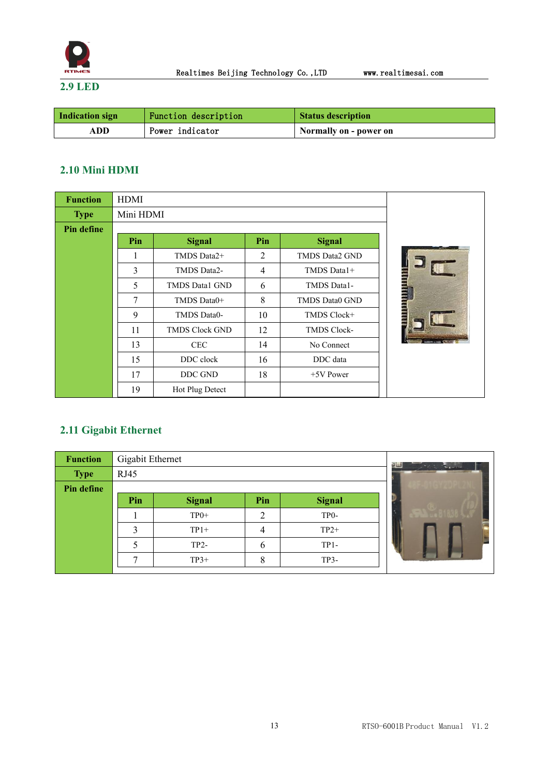

<span id="page-13-0"></span>**2.9 LED**

| Indication sign | Function description | <b>Status description</b> |
|-----------------|----------------------|---------------------------|
| ADD             | Power indicator      | Normally on - power on    |

#### <span id="page-13-1"></span>**2.10 Mini HDMI**

| <b>Function</b> | <b>HDMI</b> |                       |                |                    |   |  |  |
|-----------------|-------------|-----------------------|----------------|--------------------|---|--|--|
| <b>Type</b>     | Mini HDMI   |                       |                |                    |   |  |  |
| Pin define      |             |                       |                |                    |   |  |  |
|                 | Pin         | <b>Signal</b>         | Pin            | <b>Signal</b>      |   |  |  |
|                 |             | TMDS Data2+           | 2              | TMDS Data2 GND     |   |  |  |
|                 | 3           | TMDS Data2-           | $\overline{4}$ | TMDS Data1+        |   |  |  |
|                 | 5           | TMDS Data1 GND        | 6              | TMDS Data1-        |   |  |  |
|                 | 7           | TMDS Data0+           | 8              | TMDS Data0 GND     | Ē |  |  |
|                 | 9           | TMDS Data0-           | 10             | TMDS Clock+        |   |  |  |
|                 | 11          | <b>TMDS Clock GND</b> | 12             | <b>TMDS Clock-</b> |   |  |  |
|                 | 13          | <b>CEC</b>            | 14             | No Connect         |   |  |  |
|                 | 15          | DDC clock             | 16             | DDC data           |   |  |  |
|                 | 17          | DDC GND               | 18             | $+5V$ Power        |   |  |  |
|                 | 19          | Hot Plug Detect       |                |                    |   |  |  |

### <span id="page-13-2"></span>**2.11 Gigabit Ethernet**

| <b>Function</b> | Gigabit Ethernet |               | a la t  |                   |  |
|-----------------|------------------|---------------|---------|-------------------|--|
| <b>Type</b>     | RJ45             |               | $L_{1}$ |                   |  |
| Pin define      |                  |               |         |                   |  |
|                 | Pin              | <b>Signal</b> | Pin     | <b>Signal</b>     |  |
|                 |                  | $TP0+$        | ി       | TP <sub>0</sub> - |  |
|                 | 3                | $TP1+$        | 4       | $TP2+$            |  |
|                 |                  | $TP2-$        | 6       | $TP1-$            |  |
|                 | −                | $TP3+$        | 8       | $TP3-$            |  |
|                 |                  |               |         |                   |  |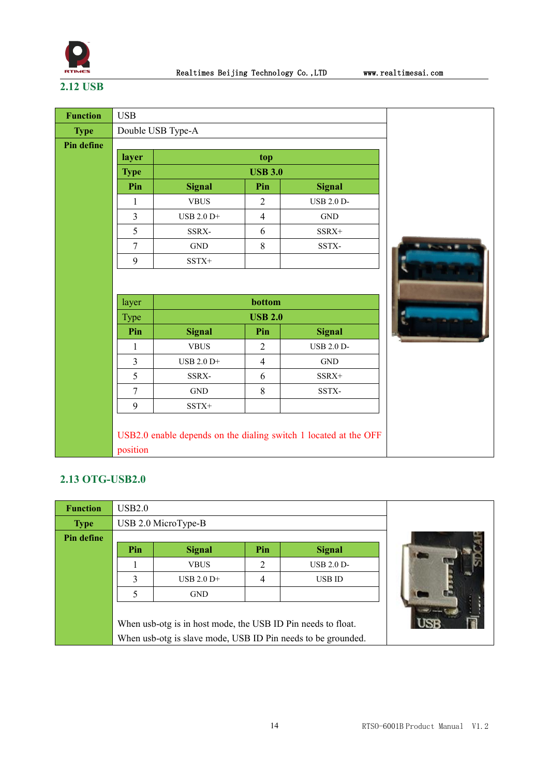

# <span id="page-14-0"></span>**2.12 USB**

| <b>Function</b>   | <b>USB</b>        |                                                                  |                |                      |  |  |
|-------------------|-------------------|------------------------------------------------------------------|----------------|----------------------|--|--|
| <b>Type</b>       | Double USB Type-A |                                                                  |                |                      |  |  |
| <b>Pin define</b> |                   |                                                                  |                |                      |  |  |
|                   | layer             |                                                                  | top            |                      |  |  |
|                   | <b>Type</b>       |                                                                  | <b>USB 3.0</b> |                      |  |  |
|                   | Pin               | <b>Signal</b>                                                    | Pin            | <b>Signal</b>        |  |  |
|                   | 1                 | <b>VBUS</b>                                                      | $\overline{2}$ | <b>USB 2.0 D-</b>    |  |  |
|                   | $\mathfrak{Z}$    | USB 2.0 D+                                                       | $\overline{4}$ | $\operatorname{GND}$ |  |  |
|                   | 5                 | SSRX-                                                            | 6              | SSRX+                |  |  |
|                   | $\overline{7}$    | $\operatorname{GND}$                                             | 8              | SSTX-                |  |  |
|                   | 9                 | $SSTX^+$                                                         |                |                      |  |  |
|                   |                   |                                                                  |                |                      |  |  |
|                   | layer             |                                                                  | bottom         |                      |  |  |
|                   | Type              |                                                                  | <b>USB 2.0</b> |                      |  |  |
|                   | Pin               | <b>Signal</b>                                                    | Pin            | <b>Signal</b>        |  |  |
|                   | $\mathbf{1}$      | <b>VBUS</b>                                                      | $\overline{2}$ | <b>USB 2.0 D-</b>    |  |  |
|                   | $\overline{3}$    | USB 2.0 D+                                                       | $\overline{4}$ | <b>GND</b>           |  |  |
|                   | 5                 | SSRX-                                                            | 6              | SSRX+                |  |  |
|                   | $\overline{7}$    | <b>GND</b>                                                       | 8              | SSTX-                |  |  |
|                   | 9                 | $SSTX+$                                                          |                |                      |  |  |
|                   |                   |                                                                  |                |                      |  |  |
|                   |                   | USB2.0 enable depends on the dialing switch 1 located at the OFF |                |                      |  |  |
|                   | position          |                                                                  |                |                      |  |  |

### <span id="page-14-1"></span>**2.13 OTG-USB2.0**

| <b>Function</b> | USB2.0                                                                                                                       |                                       |  |  |  |  |  |  |
|-----------------|------------------------------------------------------------------------------------------------------------------------------|---------------------------------------|--|--|--|--|--|--|
| <b>Type</b>     |                                                                                                                              | USB 2.0 MicroType-B                   |  |  |  |  |  |  |
| Pin define      |                                                                                                                              |                                       |  |  |  |  |  |  |
|                 | Pin                                                                                                                          | Pin<br><b>Signal</b><br><b>Signal</b> |  |  |  |  |  |  |
|                 |                                                                                                                              | 2<br>$UBB 2.0 D-$<br><b>VBUS</b>      |  |  |  |  |  |  |
|                 | 3                                                                                                                            | 4<br>$USB 2.0 D+$<br><b>USB ID</b>    |  |  |  |  |  |  |
|                 | <b>GND</b>                                                                                                                   |                                       |  |  |  |  |  |  |
|                 | When usb-otg is in host mode, the USB ID Pin needs to float.<br>When usb-otg is slave mode, USB ID Pin needs to be grounded. |                                       |  |  |  |  |  |  |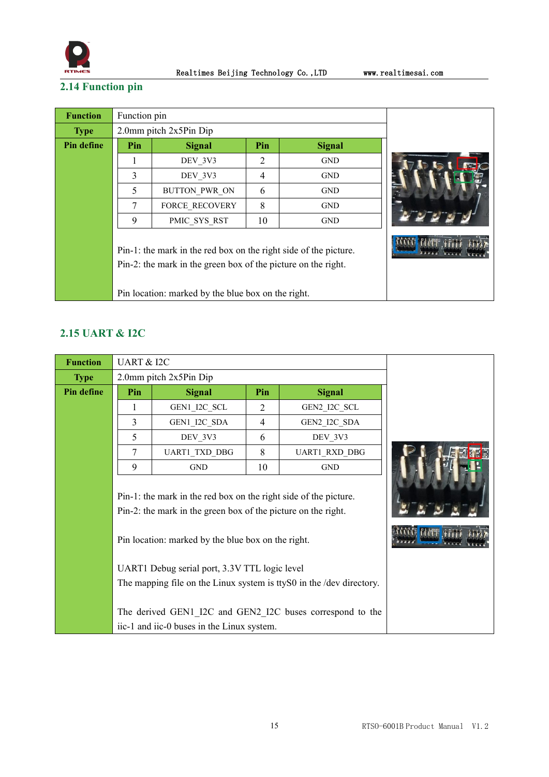

# <span id="page-15-0"></span>**2.14 Function pin**

| <b>Function</b> | Function pin |                                                                                                                                                                                         |    |            |  |
|-----------------|--------------|-----------------------------------------------------------------------------------------------------------------------------------------------------------------------------------------|----|------------|--|
| <b>Type</b>     |              | $2.0$ mm pitch $2x5Pin$ Dip                                                                                                                                                             |    |            |  |
| Pin define      | Pin          | <b>Signal</b>                                                                                                                                                                           |    |            |  |
|                 |              | DEV 3V3                                                                                                                                                                                 | 2  | <b>GND</b> |  |
|                 | 3            | DEV 3V3                                                                                                                                                                                 | 4  | <b>GND</b> |  |
|                 | 5            | BUTTON PWR ON                                                                                                                                                                           | 6  | <b>GND</b> |  |
|                 | 7            | <b>FORCE RECOVERY</b>                                                                                                                                                                   | 8  | <b>GND</b> |  |
|                 | 9            | PMIC SYS RST                                                                                                                                                                            | 10 | <b>GND</b> |  |
|                 |              | Pin-1: the mark in the red box on the right side of the picture.<br>Pin-2: the mark in the green box of the picture on the right.<br>Pin location: marked by the blue box on the right. |    |            |  |

#### <span id="page-15-1"></span>**2.15 UART & I2C**

| <b>Function</b> | <b>UART &amp; I2C</b> |                                                                                                                                                                                                                                                                                        |     |                                                                                                                                    |  |
|-----------------|-----------------------|----------------------------------------------------------------------------------------------------------------------------------------------------------------------------------------------------------------------------------------------------------------------------------------|-----|------------------------------------------------------------------------------------------------------------------------------------|--|
| <b>Type</b>     |                       | 2.0mm pitch 2x5Pin Dip                                                                                                                                                                                                                                                                 |     |                                                                                                                                    |  |
| Pin define      | Pin                   | <b>Signal</b>                                                                                                                                                                                                                                                                          | Pin | <b>Signal</b>                                                                                                                      |  |
|                 | 1                     | GEN1_I2C_SCL                                                                                                                                                                                                                                                                           | 2   | GEN2_I2C_SCL                                                                                                                       |  |
|                 | 3                     | GEN1_I2C_SDA                                                                                                                                                                                                                                                                           | 4   | GEN2_I2C_SDA                                                                                                                       |  |
|                 | 5                     | DEV 3V3                                                                                                                                                                                                                                                                                | 6   | DEV 3V3                                                                                                                            |  |
|                 | $\tau$                | UART1_TXD_DBG                                                                                                                                                                                                                                                                          | 8   | UART1_RXD_DBG                                                                                                                      |  |
|                 | 9                     | <b>GND</b>                                                                                                                                                                                                                                                                             | 10  | <b>GND</b>                                                                                                                         |  |
|                 |                       | Pin-1: the mark in the red box on the right side of the picture.<br>Pin-2: the mark in the green box of the picture on the right.<br>Pin location: marked by the blue box on the right.<br>UART1 Debug serial port, 3.3V TTL logic level<br>iic-1 and iic-0 buses in the Linux system. |     | The mapping file on the Linux system is tty S0 in the /dev directory.<br>The derived GEN1 I2C and GEN2 I2C buses correspond to the |  |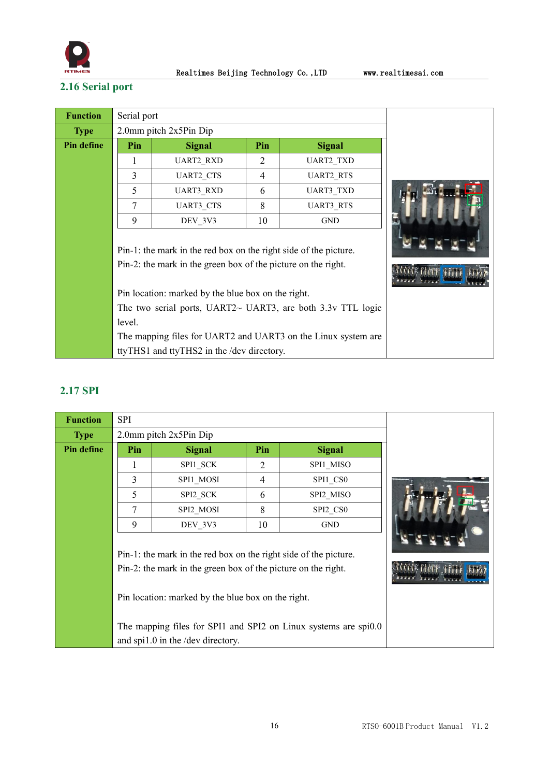

# <span id="page-16-0"></span>**2.16 Serial port**

| <b>Function</b> | Serial port                                                   |                                                                   |     |                                                               |  |  |
|-----------------|---------------------------------------------------------------|-------------------------------------------------------------------|-----|---------------------------------------------------------------|--|--|
| <b>Type</b>     |                                                               | $2.0$ mm pitch $2x5Pin$ Dip                                       |     |                                                               |  |  |
| Pin define      | Pin                                                           | <b>Signal</b>                                                     | Pin | <b>Signal</b>                                                 |  |  |
|                 |                                                               | <b>UART2 RXD</b>                                                  | 2   | <b>UART2 TXD</b>                                              |  |  |
|                 | 3                                                             | UART2_CTS                                                         | 4   | <b>UART2 RTS</b>                                              |  |  |
|                 | 5                                                             | <b>UART3 RXD</b>                                                  | 6   | <b>UART3 TXD</b>                                              |  |  |
|                 | 7                                                             | <b>UART3 CTS</b>                                                  | 8   | <b>UART3 RTS</b>                                              |  |  |
|                 | 9                                                             | DEV 3V3                                                           | 10  | <b>GND</b>                                                    |  |  |
|                 |                                                               | Pin-1: the mark in the red box on the right side of the picture.  |     |                                                               |  |  |
|                 | Pin-2: the mark in the green box of the picture on the right. |                                                                   |     |                                                               |  |  |
|                 | Pin location: marked by the blue box on the right.            |                                                                   |     |                                                               |  |  |
|                 |                                                               | The two serial ports, UART2 $\sim$ UART3, are both 3.3v TTL logic |     |                                                               |  |  |
|                 | level.                                                        |                                                                   |     |                                                               |  |  |
|                 |                                                               |                                                                   |     | The mapping files for UART2 and UART3 on the Linux system are |  |  |
|                 |                                                               | ttyTHS1 and ttyTHS2 in the /dev directory.                        |     |                                                               |  |  |

### <span id="page-16-1"></span>**2.17 SPI**

| <b>Function</b> | SPI |                                                                                                                                                                                                                              |     |                                                                 |  |
|-----------------|-----|------------------------------------------------------------------------------------------------------------------------------------------------------------------------------------------------------------------------------|-----|-----------------------------------------------------------------|--|
| <b>Type</b>     |     | 2.0mm pitch 2x5Pin Dip                                                                                                                                                                                                       |     |                                                                 |  |
| Pin define      | Pin | <b>Signal</b>                                                                                                                                                                                                                | Pin | <b>Signal</b>                                                   |  |
|                 |     | SPI1 SCK                                                                                                                                                                                                                     | 2   | SPI1 MISO                                                       |  |
|                 | 3   | SPI1 MOSI                                                                                                                                                                                                                    | 4   | SPI1 CS0                                                        |  |
|                 | 5   | SPI2 SCK                                                                                                                                                                                                                     | 6   | SPI2 MISO                                                       |  |
|                 | 7   | SPI2_MOSI                                                                                                                                                                                                                    | 8   | SPI2_CS0                                                        |  |
|                 | 9   | DEV 3V3                                                                                                                                                                                                                      | 10  | <b>GND</b>                                                      |  |
|                 |     | Pin-1: the mark in the red box on the right side of the picture.<br>Pin-2: the mark in the green box of the picture on the right.<br>Pin location: marked by the blue box on the right.<br>and spi1.0 in the /dev directory. |     | The mapping files for SPI1 and SPI2 on Linux systems are spi0.0 |  |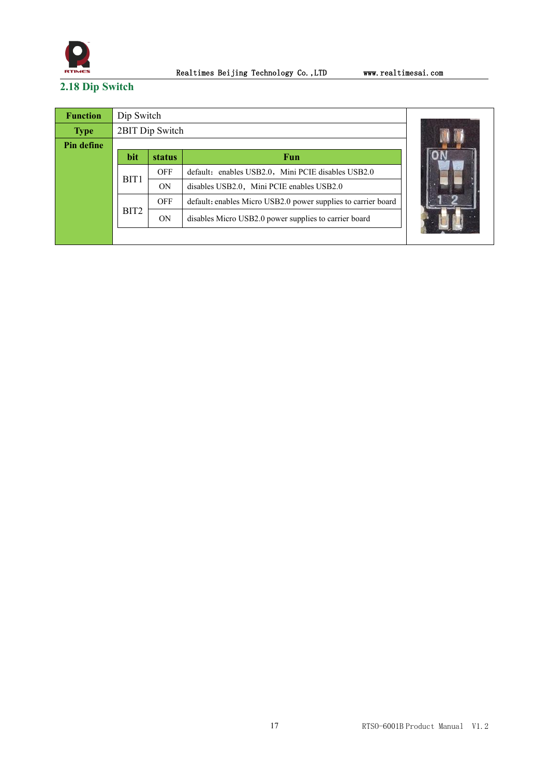

# <span id="page-17-0"></span>**2.18 Dip Switch**

| <b>Function</b> | Dip Switch       |                 |                                                               |  |  |  |  |
|-----------------|------------------|-----------------|---------------------------------------------------------------|--|--|--|--|
| <b>Type</b>     |                  | 2BIT Dip Switch |                                                               |  |  |  |  |
| Pin define      |                  |                 |                                                               |  |  |  |  |
|                 | bit              | <b>status</b>   | Fun                                                           |  |  |  |  |
|                 | BIT <sub>1</sub> | <b>OFF</b>      | default: enables USB2.0, Mini PCIE disables USB2.0            |  |  |  |  |
|                 | ON               |                 | disables USB2.0, Mini PCIE enables USB2.0                     |  |  |  |  |
|                 |                  | OFF             | default: enables Micro USB2.0 power supplies to carrier board |  |  |  |  |
|                 | BIT <sub>2</sub> | ON              | disables Micro USB2.0 power supplies to carrier board         |  |  |  |  |
|                 |                  |                 |                                                               |  |  |  |  |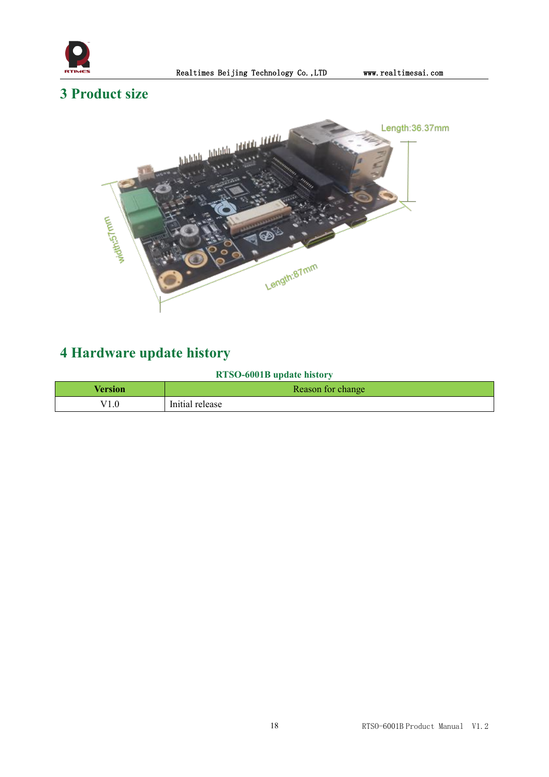

# <span id="page-18-0"></span>**3 Product size**



# <span id="page-18-1"></span>**4 Hardware update history**

#### **RTSO-6001B update history**

| Version | Reason for change    |
|---------|----------------------|
| 1.0     | .<br>Initial release |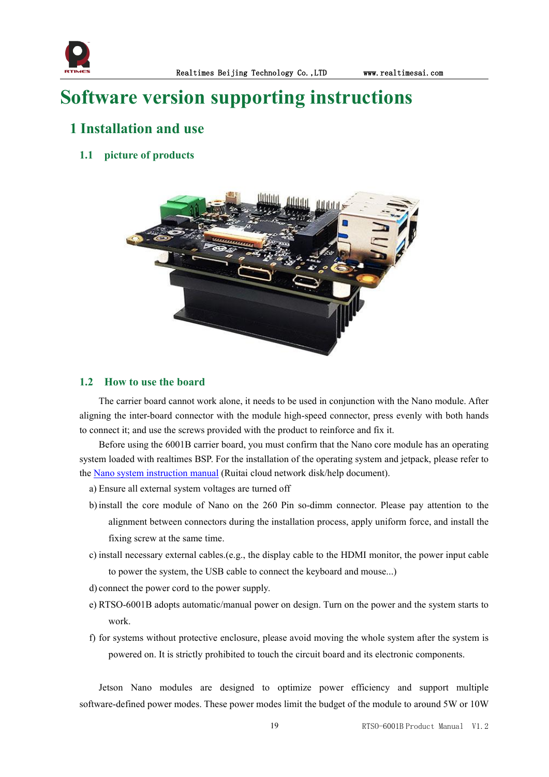

# <span id="page-19-0"></span>**Software version supporting instructions**

# <span id="page-19-1"></span>**1 Installation and use**

#### <span id="page-19-2"></span>**1.1 picture of products**



#### <span id="page-19-3"></span>**1.2 How to use the board**

The carrier board cannot work alone, it needs to be used in conjunction with the Nano module. After aligning the inter-board connector with the module high-speed connector, press evenly with both hands to connect it; and use the screws provided with the product to reinforce and fix it.

Before using the 6001B carrier board, you must confirm that the Nano core module has an operating system loaded with realtimes BSP. For the installation of the operating system and jetpack, please refer to the Nano system [instruction](http://yun.realtimes.cn/) manual (Ruitai cloud network disk/help document).

- a) Ensure all external system voltages are turned off
- b)install the core module of Nano on the 260 Pin so-dimm connector. Please pay attention to the alignment between connectors during the installation process, apply uniform force, and install the fixing screw at the same time.
- c) install necessary external cables.(e.g., the display cable to the HDMI monitor, the power input cable to power the system, the USB cable to connect the keyboard and mouse...)
- d) connect the power cord to the power supply.
- e) RTSO-6001B adopts automatic/manual power on design. Turn on the power and the system starts to work.
- f) for systems without protective enclosure, please avoid moving the whole system after the system is powered on. It is strictly prohibited to touch the circuit board and its electronic components.

Jetson Nano modules are designed to optimize power efficiency and support multiple software-defined power modes. These power modes limit the budget of the module to around 5W or 10W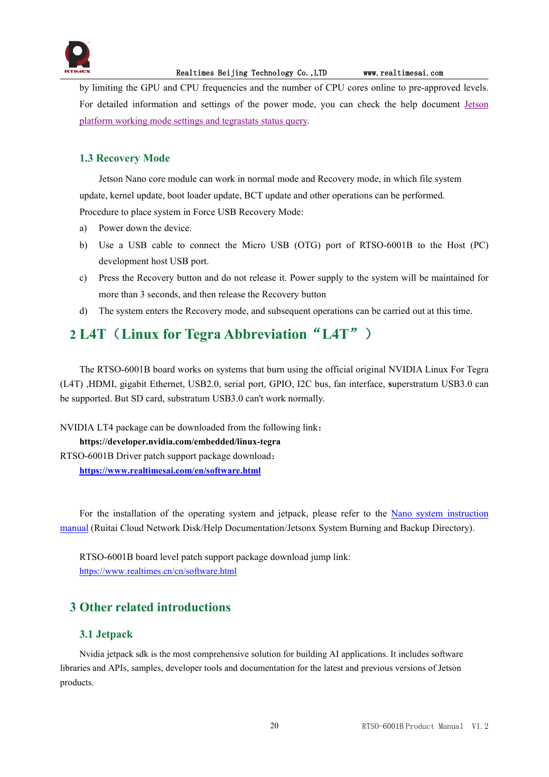

by limiting the GPU and CPU frequencies and the number of CPU cores online to pre-approved levels. For detailed information and settings of the power mode, you can check the help document [Jetson](http://yun.realtimes.cn/) platform working mode settings and tegrastats status query.

#### <span id="page-20-0"></span>**1.3 Recovery Mode**

Jetson Nano core module can work in normal mode and Recovery mode, in which file system update, kernel update, boot loader update, BCT update and other operations can be performed. Procedure to place system in Force USB Recovery Mode:

- a) Power down the device.
- b) Use a USB cable to connect the Micro USB (OTG) port of RTSO-6001B to the Host(PC) development host USB port.
- c) Press the Recovery button and do not release it. Power supply to the system will be maintained for more than 3 seconds, and then release the Recovery button
- d) The system enters the Recovery mode, and subsequent operations can be carried out at this time.

# <span id="page-20-1"></span>**2 L4T**(**Linux for Tegra Abbreviation**"**L4T**")

The RTSO-6001B board works on systems that burn using the official original NVIDIA Linux For Tegra (L4T) ,HDMI, gigabit Ethernet, USB2.0, serial port, GPIO, I2C bus, fan interface, **s**uperstratum USB3.0 can be supported. But SD card, substratum USB3.0 can't work normally.

NVIDIA LT4 package can be downloaded from the following link:

**https://developer.nvidia.com/embedded/linux-tegra** RTSO-6001B Driver patch support package download: **<https://www.realtimesai.com/en/software.html>**

For the installation of the operating system and jetpack, please refer to the Nano system [instruction](http://yun.realtimes.cn/) manual (Ruitai Cloud Network Disk/Help Documentation/Jetsonx System Burning and Backup Directory).<br>RTSO-6001B board level patch support package download jump link:

<https://www.realtimes.cn/cn/software.html>

# <span id="page-20-2"></span>**3 Other related introductions**

#### <span id="page-20-3"></span>**3.1 Jetpack**

Nvidia jetpack sdk is the most comprehensive solution for building AI applications. It includes software libraries and APIs, samples, developer tools and documentation for the latest and previous versions of Jetson products.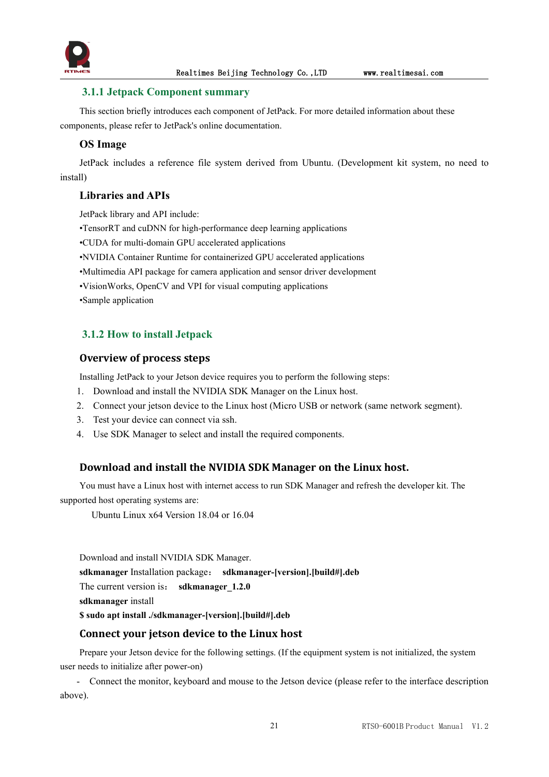

#### <span id="page-21-0"></span>**3.1.1 Jetpack Component summary**

This section briefly introduces each component of JetPack. For more detailed information about these components, please refer to JetPack's online documentation.

#### **OS Image**

JetPack includes a reference file system derived from Ubuntu. (Development kit system, no need to install)

#### **Libraries and APIs**

JetPack library and API include:

•TensorRT and cuDNN for high-performance deep learning applications

•CUDA for multi-domain GPU accelerated applications

- •NVIDIA Container Runtime for containerized GPU accelerated applications
- •Multimedia API package for camera application and sensor driver development
- •VisionWorks, OpenCV and VPI for visual computing applications

•Sample application

#### <span id="page-21-1"></span>**3.1.2 How to install Jetpack**

#### **Overview of process steps**

Installing JetPack to your Jetson device requires you to perform the following steps:

- 1. Download and install the NVIDIA SDK Manager on the Linux host.
- 2. Connect your jetson device to the Linux host (Micro USB or network (same network segment).
- 3. Test your device can connect via ssh.
- 4. Use SDK Manager to select and install the required components.

#### **Download and install the NVIDIA SDK Manager on the Linux host.**

You must have a Linux host with internet access to run SDK Manager and refresh the developer kit.The supported host operating systems are:

Ubuntu Linux x64 Version 18.04 or 16.04

Download and install NVIDIA SDK Manager. **sdkmanager** Installation package: **sdkmanager-[version].[build#].deb** The current version is: **sdkmanager** 1.2.0 **sdkmanager** install **\$ sudo apt install ./sdkmanager-[version].[build#].deb**

#### **Connect your jetson device to the Linux host**

Prepare your Jetson device for the following settings. (If the equipment system is not initialized, the system user needs to initialize after power-on)

- Connect the monitor, keyboard and mouse to the Jetson device (please referto the interface description above).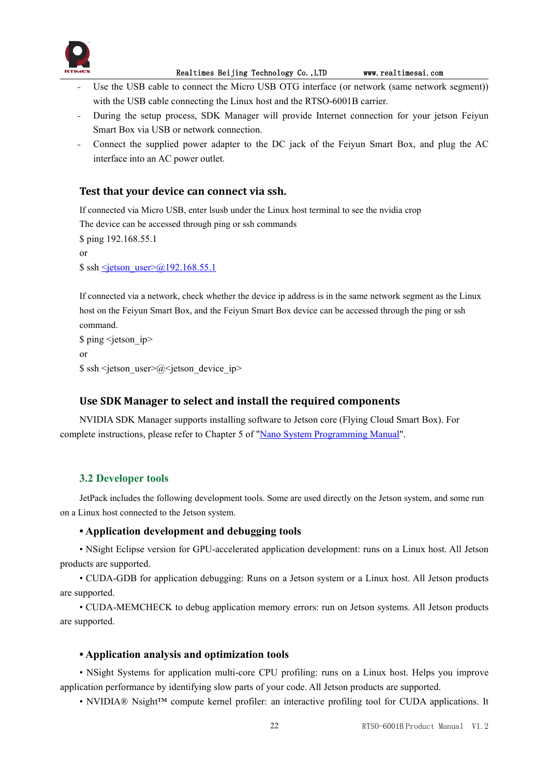

- Use the USB cable to connect the Micro USB OTG interface (or network (same network segment)) with the USB cable connecting the Linux host and the RTSO-6001B carrier.
- During the setup process, SDK Manager will provide Internet connection for your jetson Feiyun Smart Box via USB or network connection.
- Connect the supplied power adapter to the DC jack of the Feiyun Smart Box, and plug the AC interface into an AC power outlet.

#### **Test that your device can connect via ssh.**

If connected via Micro USB, enter lsusb under the Linux host terminal to see the nvidia crop

The device can be accessed through ping or ssh commands

\$ ping 192.168.55.1 or  $\$  ssh <ietson user> $@192.168.55.1$ 

If connected via a network, check whether the device ip address is in the same network segment as the Linux host on the Feiyun Smart Box, and the Feiyun Smart Box device can be accessed through the ping or ssh command.

\$ ping <ietson\_ip> or  $\$  ssh <jetson user> $@$  <jetson device ip>

#### **Use SDK Manager to select and install the required components**

NVIDIA SDK Manager supports installing software to Jetson core (Flying Cloud Smart Box). For complete instructions, please referto Chapter 5 of "Nano System [Programming](http://yun.realtimes.cn/) Manual".

#### <span id="page-22-0"></span>**3.2 Developer tools**

JetPack includes the following development tools. Some are used directly on the Jetson system, and some run on a Linux host connected to the Jetson system.

#### **• Application development and debugging tools**

• NSight Eclipse version for GPU-accelerated application development: runs on a Linux host. All Jetson products are supported.

• CUDA-GDB for application debugging: Runs on a Jetson system or a Linux host. All Jetson products are supported.

• CUDA-MEMCHECK to debug application memory errors: run on Jetson systems. All Jetson products are supported.

#### **• Application analysis and optimization tools**

• NSight Systems for application multi-core CPU profiling: runs on a Linux host. Helps you improve application performance by identifying slow parts of your code. All Jetson products are supported.

• NVIDIA® Nsight<sup>™</sup> compute kernel profiler: an interactive profiling tool for CUDA applications. It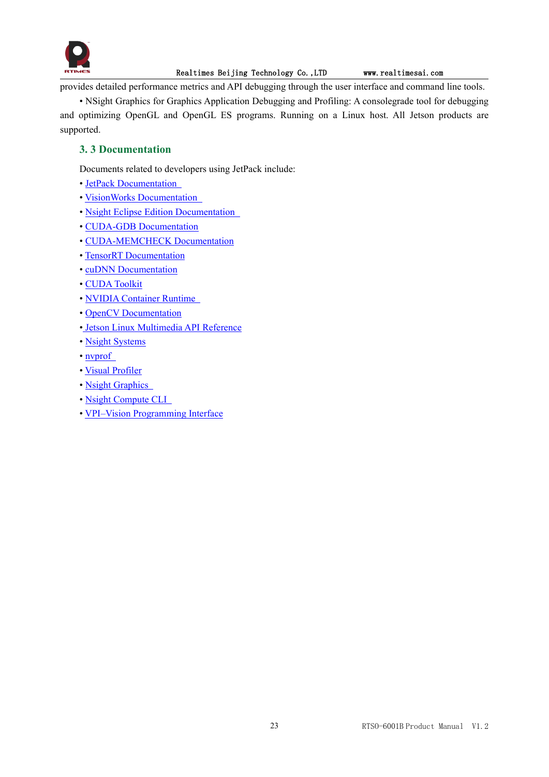

provides detailed performance metrics and API debugging through the user interface and command line tools.

• NSight Graphics for Graphics Application Debugging and Profiling: A consolegrade tool for debugging and optimizing OpenGL and OpenGL ES programs. Running on a Linux host. All Jetson products are supported.

#### <span id="page-23-0"></span>**3. 3 Documentation**

Documents related to developers using JetPack include:

- JetPack [Documentation](https://docs.nvidia.com/jetson/jetpack/index.html)
- VisionWorks [Documentation](https://developer.nvidia.com/embedded/visionworks)
- Nsight Eclipse Edition [Documentation](https://docs.nvidia.com/cuda/nsight-eclipse-edition-getting-started-guide/index.html)
- CUDA-GDB [Documentation](http://docs.nvidia.com/cuda/cuda-gdb/index.html)
- [CUDA-MEMCHECK](http://docs.nvidia.com/cuda/cuda-memcheck/index.html) Documentation
- TensorRT [Documentation](https://docs.nvidia.com/deeplearning/sdk/tensorrt-developer-guide/index.html)
- cuDNN [Documentation](https://docs.nvidia.com/deeplearning/sdk/cudnn-developer-guide/index.html)
- CUDA [Toolkit](https://docs.nvidia.com/cuda/index.html)
- NVIDIA [Container](https://www.google.com/url?q=https://github.com/NVIDIA/nvidia-docker/wiki%23platform-support&sa=D&ust=1562106101392000&usg=AFQjCNG6YZBlyXRWjcpGIYF8fkBkYt9RsA) Runtime
- OpenCV [Documentation](https://developer.nvidia.com/opencv)
- Jetson Linux [Multimedia](https://docs.nvidia.com/jetson/l4t-multimedia/index.html) API Reference
- Nsight [Systems](https://docs.nvidia.com/nsight-systems/index.html)
- [nvprof](https://docs.nvidia.com/cuda/profiler-users-guide/index.html)
- Visual [Profiler](http://docs.nvidia.com/cuda/profiler-users-guide/index.html)
- Nsight [Graphics](https://docs.nvidia.com/nsight-graphics/index.html)
- Nsight [Compute](https://docs.nvidia.com/nsight-compute/NsightComputeCli/index.html) CLI
- VPI–Vision [Programming](https://docs.nvidia.com/vpi/index.html) Interface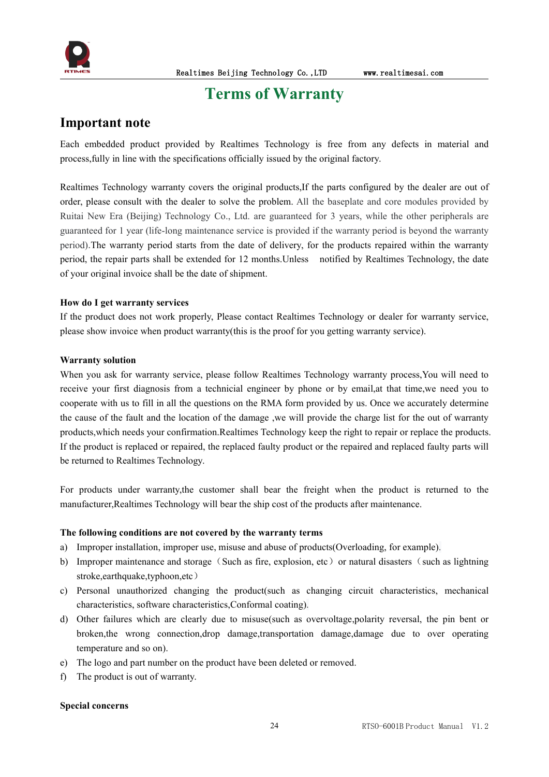

# <span id="page-24-0"></span>**Terms** of Warranty

#### **Important note**

Each embedded product provided by Realtimes Technology is free from any defects in material and process,fully in line with the specifications officially issued by the original factory.

Realtimes Technology warranty covers the original products,If the parts configured by the dealer are out of order, please consult with the dealer to solve the problem. All the baseplate and core modules provided by Ruitai New Era (Beijing) Technology Co., Ltd. are guaranteed for 3 years, while the other peripherals are guaranteed for 1 year (life-long maintenance service is provided if the warranty period is beyond the warranty period).The warranty period starts from the date of delivery, for the products repaired within the warranty period, the repair parts shall be extended for 12 months.Unless notified by Realtimes Technology, the date of your original invoice shall be the date of shipment.

#### **How do I get warranty services**

If the product does not work properly, Please contact Realtimes Technology or dealer for warranty service, please show invoice when product warranty(this is the proof for you getting warranty service).

#### **Warranty solution**

When you ask for warranty service, please follow Realtimes Technology warranty process, You will need to receive your first diagnosis from a technicial engineer by phone or by email,at that time,we need you to cooperate with us to fill in all the questions on the RMA form provided by us. Once we accurately determine the cause of the fault and the location of the damage ,we will provide the charge list for the out of warranty products,which needs your confirmation.Realtimes Technology keep the right to repair or replace the products. If the product is replaced or repaired, the replaced faulty product or the repaired and replaced faulty parts will be returned to Realtimes Technology.

For products under warranty,the customer shall bear the freight when the product is returned to the manufacturer,Realtimes Technology will bear the ship cost of the products after maintenance.

#### **The following conditions are not covered by the warranty terms**

- a) Improper installation, improper use, misuse and abuse of products(Overloading, for example).
- b) Improper maintenance and storage (Such as fire, explosion, etc) or natural disasters (such as lightning stroke,earthquake,typhoon,etc)
- c) Personal unauthorized changing the product(such as changing circuit characteristics, mechanical characteristics, software characteristics,Conformal coating).
- d) Other failures which are clearly due to misuse(such as overvoltage,polarity reversal, the pin bent or broken,the wrong connection,drop damage,transportation damage,damage due to over operating temperature and so on).
- e) The logo and part number on the product have been deleted or removed.
- f) The product is out of warranty.

#### **Special concerns**